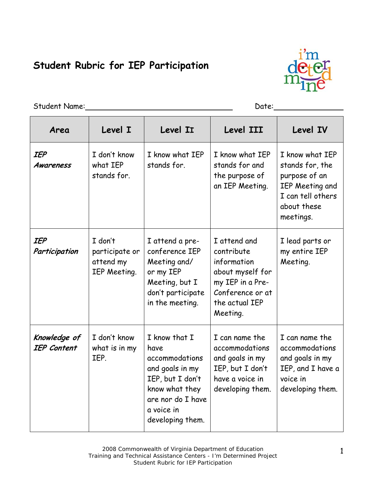## **Student Rubric for IEP Participation**



Student Name: Date:

| Area                               | Level I                                                | Level II                                                                                                                                                | Level III                                                                                                                           | <b>Level IV</b>                                                                                                         |
|------------------------------------|--------------------------------------------------------|---------------------------------------------------------------------------------------------------------------------------------------------------------|-------------------------------------------------------------------------------------------------------------------------------------|-------------------------------------------------------------------------------------------------------------------------|
| <b>IEP</b><br><b>Awareness</b>     | I don't know<br>what IEP<br>stands for.                | I know what IEP<br>stands for.                                                                                                                          | I know what IEP<br>stands for and<br>the purpose of<br>an IEP Meeting.                                                              | I know what IEP<br>stands for, the<br>purpose of an<br>IEP Meeting and<br>I can tell others<br>about these<br>meetings. |
| <b>IEP</b><br>Participation        | I don't<br>participate or<br>attend my<br>IEP Meeting. | I attend a pre-<br>conference IEP<br>Meeting and/<br>or my IEP<br>Meeting, but I<br>don't participate<br>in the meeting.                                | I attend and<br>contribute<br>information<br>about myself for<br>my IEP in a Pre-<br>Conference or at<br>the actual IEP<br>Meeting. | I lead parts or<br>my entire IEP<br>Meeting.                                                                            |
| Knowledge of<br><b>IEP Content</b> | I don't know<br>what is in my<br>IEP.                  | I know that I<br>have<br>accommodations<br>and goals in my<br>IEP, but I don't<br>know what they<br>are nor do I have<br>a voice in<br>developing them. | I can name the<br>accommodations<br>and goals in my<br>IEP, but I don't<br>have a voice in<br>developing them.                      | I can name the<br>accommodations<br>and goals in my<br>IEP, and I have a<br>voice in<br>developing them.                |